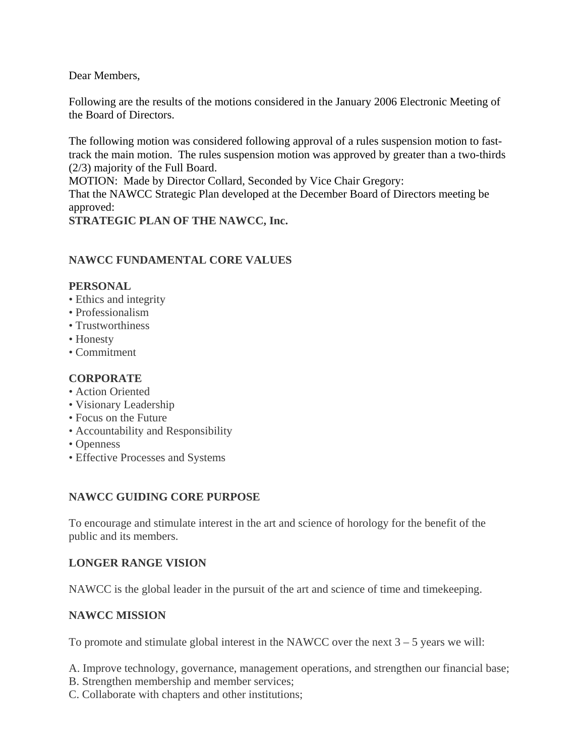Dear Members,

Following are the results of the motions considered in the January 2006 Electronic Meeting of the Board of Directors.

The following motion was considered following approval of a rules suspension motion to fasttrack the main motion. The rules suspension motion was approved by greater than a two-thirds (2/3) majority of the Full Board.

MOTION: Made by Director Collard, Seconded by Vice Chair Gregory:

That the NAWCC Strategic Plan developed at the December Board of Directors meeting be approved:

**STRATEGIC PLAN OF THE NAWCC, Inc.**

## **NAWCC FUNDAMENTAL CORE VALUES**

### **PERSONAL**

- Ethics and integrity
- Professionalism
- Trustworthiness
- Honesty
- Commitment

### **CORPORATE**

- Action Oriented
- Visionary Leadership
- Focus on the Future
- Accountability and Responsibility
- Openness
- Effective Processes and Systems

## **NAWCC GUIDING CORE PURPOSE**

To encourage and stimulate interest in the art and science of horology for the benefit of the public and its members.

#### **LONGER RANGE VISION**

NAWCC is the global leader in the pursuit of the art and science of time and timekeeping.

## **NAWCC MISSION**

To promote and stimulate global interest in the NAWCC over the next  $3 - 5$  years we will:

A. Improve technology, governance, management operations, and strengthen our financial base;

- B. Strengthen membership and member services;
- C. Collaborate with chapters and other institutions;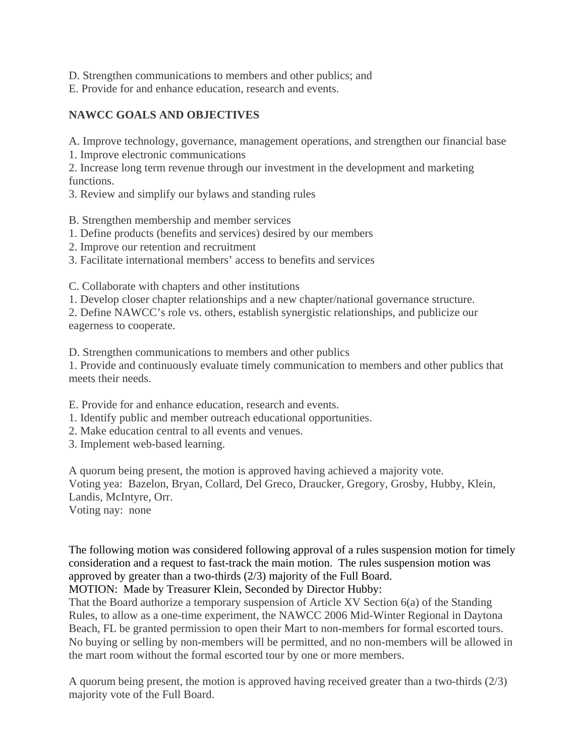D. Strengthen communications to members and other publics; and

E. Provide for and enhance education, research and events.

# **NAWCC GOALS AND OBJECTIVES**

A. Improve technology, governance, management operations, and strengthen our financial base

1. Improve electronic communications

2. Increase long term revenue through our investment in the development and marketing functions.

3. Review and simplify our bylaws and standing rules

B. Strengthen membership and member services

1. Define products (benefits and services) desired by our members

2. Improve our retention and recruitment

3. Facilitate international members' access to benefits and services

C. Collaborate with chapters and other institutions

1. Develop closer chapter relationships and a new chapter/national governance structure.

2. Define NAWCC's role vs. others, establish synergistic relationships, and publicize our eagerness to cooperate.

D. Strengthen communications to members and other publics

1. Provide and continuously evaluate timely communication to members and other publics that meets their needs.

E. Provide for and enhance education, research and events.

- 1. Identify public and member outreach educational opportunities.
- 2. Make education central to all events and venues.
- 3. Implement web-based learning.

A quorum being present, the motion is approved having achieved a majority vote. Voting yea: Bazelon, Bryan, Collard, Del Greco, Draucker, Gregory, Grosby, Hubby, Klein, Landis, McIntyre, Orr.

Voting nay: none

The following motion was considered following approval of a rules suspension motion for timely consideration and a request to fast-track the main motion. The rules suspension motion was approved by greater than a two-thirds (2/3) majority of the Full Board.

MOTION: Made by Treasurer Klein, Seconded by Director Hubby:

That the Board authorize a temporary suspension of Article XV Section 6(a) of the Standing Rules, to allow as a one-time experiment, the NAWCC 2006 Mid-Winter Regional in Daytona Beach, FL be granted permission to open their Mart to non-members for formal escorted tours. No buying or selling by non-members will be permitted, and no non-members will be allowed in the mart room without the formal escorted tour by one or more members.

A quorum being present, the motion is approved having received greater than a two-thirds (2/3) majority vote of the Full Board.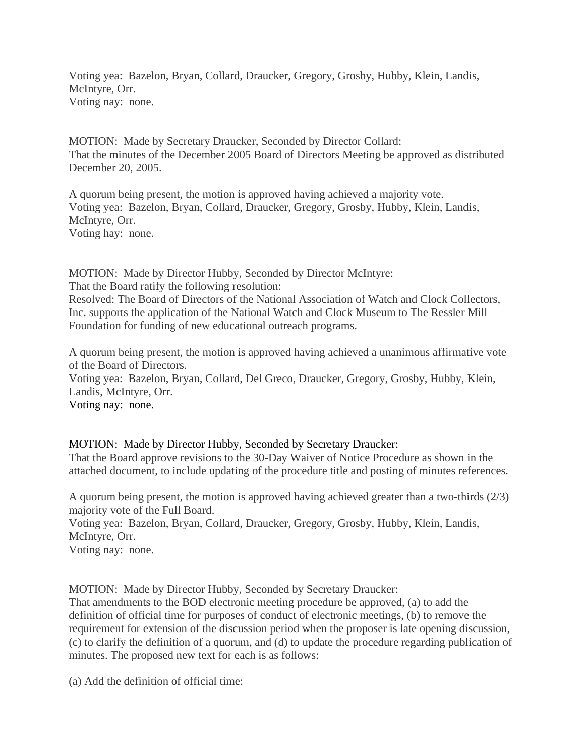Voting yea: Bazelon, Bryan, Collard, Draucker, Gregory, Grosby, Hubby, Klein, Landis, McIntyre, Orr. Voting nay: none.

MOTION: Made by Secretary Draucker, Seconded by Director Collard: That the minutes of the December 2005 Board of Directors Meeting be approved as distributed December 20, 2005.

A quorum being present, the motion is approved having achieved a majority vote. Voting yea: Bazelon, Bryan, Collard, Draucker, Gregory, Grosby, Hubby, Klein, Landis, McIntyre, Orr. Voting hay: none.

MOTION: Made by Director Hubby, Seconded by Director McIntyre:

That the Board ratify the following resolution:

Resolved: The Board of Directors of the National Association of Watch and Clock Collectors, Inc. supports the application of the National Watch and Clock Museum to The Ressler Mill Foundation for funding of new educational outreach programs.

A quorum being present, the motion is approved having achieved a unanimous affirmative vote of the Board of Directors.

Voting yea: Bazelon, Bryan, Collard, Del Greco, Draucker, Gregory, Grosby, Hubby, Klein, Landis, McIntyre, Orr.

Voting nay: none.

MOTION: Made by Director Hubby, Seconded by Secretary Draucker:

That the Board approve revisions to the 30-Day Waiver of Notice Procedure as shown in the attached document, to include updating of the procedure title and posting of minutes references.

A quorum being present, the motion is approved having achieved greater than a two-thirds (2/3) majority vote of the Full Board.

Voting yea: Bazelon, Bryan, Collard, Draucker, Gregory, Grosby, Hubby, Klein, Landis, McIntyre, Orr.

Voting nay: none.

MOTION: Made by Director Hubby, Seconded by Secretary Draucker:

That amendments to the BOD electronic meeting procedure be approved, (a) to add the definition of official time for purposes of conduct of electronic meetings, (b) to remove the requirement for extension of the discussion period when the proposer is late opening discussion, (c) to clarify the definition of a quorum, and (d) to update the procedure regarding publication of minutes. The proposed new text for each is as follows:

(a) Add the definition of official time: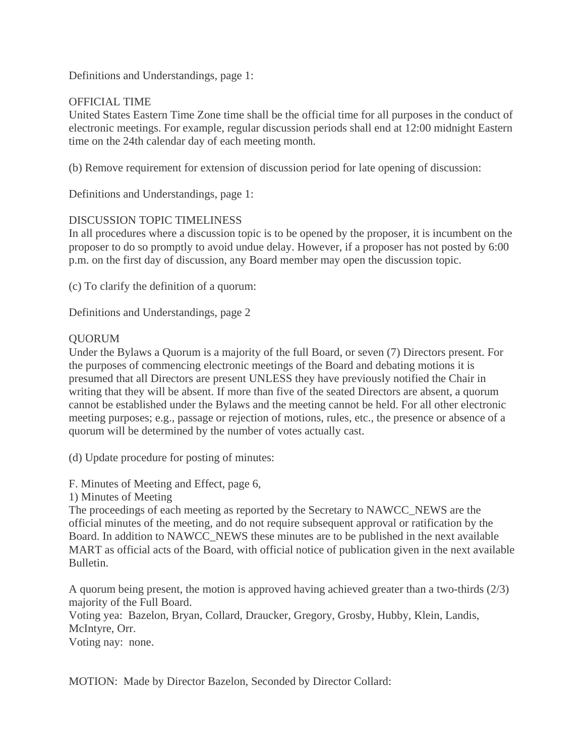Definitions and Understandings, page 1:

### OFFICIAL TIME

United States Eastern Time Zone time shall be the official time for all purposes in the conduct of electronic meetings. For example, regular discussion periods shall end at 12:00 midnight Eastern time on the 24th calendar day of each meeting month.

(b) Remove requirement for extension of discussion period for late opening of discussion:

Definitions and Understandings, page 1:

### DISCUSSION TOPIC TIMELINESS

In all procedures where a discussion topic is to be opened by the proposer, it is incumbent on the proposer to do so promptly to avoid undue delay. However, if a proposer has not posted by 6:00 p.m. on the first day of discussion, any Board member may open the discussion topic.

(c) To clarify the definition of a quorum:

Definitions and Understandings, page 2

### QUORUM

Under the Bylaws a Quorum is a majority of the full Board, or seven (7) Directors present. For the purposes of commencing electronic meetings of the Board and debating motions it is presumed that all Directors are present UNLESS they have previously notified the Chair in writing that they will be absent. If more than five of the seated Directors are absent, a quorum cannot be established under the Bylaws and the meeting cannot be held. For all other electronic meeting purposes; e.g., passage or rejection of motions, rules, etc., the presence or absence of a quorum will be determined by the number of votes actually cast.

(d) Update procedure for posting of minutes:

F. Minutes of Meeting and Effect, page 6,

1) Minutes of Meeting

The proceedings of each meeting as reported by the Secretary to NAWCC\_NEWS are the official minutes of the meeting, and do not require subsequent approval or ratification by the Board. In addition to NAWCC\_NEWS these minutes are to be published in the next available MART as official acts of the Board, with official notice of publication given in the next available Bulletin.

A quorum being present, the motion is approved having achieved greater than a two-thirds (2/3) majority of the Full Board.

Voting yea: Bazelon, Bryan, Collard, Draucker, Gregory, Grosby, Hubby, Klein, Landis, McIntyre, Orr.

Voting nay: none.

MOTION: Made by Director Bazelon, Seconded by Director Collard: